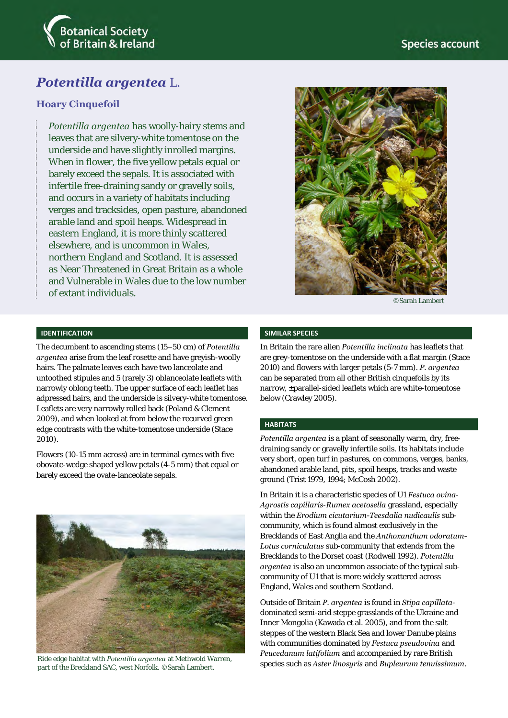

# *Potentilla argentea* L.

## **Hoary Cinquefoil**

*Potentilla argentea* has woolly-hairy stems and leaves that are silvery-white tomentose on the underside and have slightly inrolled margins. When in flower, the five yellow petals equal or barely exceed the sepals. It is associated with infertile free-draining sandy or gravelly soils, and occurs in a variety of habitats including verges and tracksides, open pasture, abandoned arable land and spoil heaps. Widespread in eastern England, it is more thinly scattered elsewhere, and is uncommon in Wales, northern England and Scotland. It is assessed as Near Threatened in Great Britain as a whole and Vulnerable in Wales due to the low number of extant individuals.



©Sarah Lambert

## **IDENTIFICATION**

The decumbent to ascending stems (15–50 cm) of *Potentilla argentea* arise from the leaf rosette and have greyish-woolly hairs. The palmate leaves each have two lanceolate and untoothed stipules and 5 (rarely 3) oblanceolate leaflets with narrowly oblong teeth. The upper surface of each leaflet has adpressed hairs, and the underside is silvery-white tomentose. Leaflets are very narrowly rolled back (Poland & Clement 2009), and when looked at from below the recurved green edge contrasts with the white-tomentose underside (Stace 2010).

Flowers (10-15 mm across) are in terminal cymes with five obovate-wedge shaped yellow petals (4-5 mm) that equal or barely exceed the ovate-lanceolate sepals.



Ride edge habitat with *Potentilla argentea* at Methwold Warren, part of the Breckland SAC, west Norfolk. ©Sarah Lambert.

## **SIMILAR SPECIES**

In Britain the rare alien *Potentilla inclinata* has leaflets that are grey-tomentose on the underside with a flat margin (Stace 2010) and flowers with larger petals (5-7 mm). *P. argentea* can be separated from all other British cinquefoils by its narrow, ±parallel-sided leaflets which are white-tomentose below (Crawley 2005).

#### **HABITATS**

*Potentilla argentea* is a plant of seasonally warm, dry, freedraining sandy or gravelly infertile soils. Its habitats include very short, open turf in pastures, on commons, verges, banks, abandoned arable land, pits, spoil heaps, tracks and waste ground (Trist 1979, 1994; McCosh 2002).

In Britain it is a characteristic species of U1 *Festuca ovina*-*Agrostis capillaris*-*Rumex acetosella* grassland, especially within the *Erodium cicutarium-Teesdalia nudicaulis* subcommunity, which is found almost exclusively in the Brecklands of East Anglia and the *Anthoxanthum odoratum-Lotus corniculatus* sub-community that extends from the Brecklands to the Dorset coast (Rodwell 1992). *Potentilla argentea* is also an uncommon associate of the typical subcommunity of U1 that is more widely scattered across England, Wales and southern Scotland.

Outside of Britain *P. argentea* is found in *Stipa capillata*dominated semi-arid steppe grasslands of the Ukraine and Inner Mongolia (Kawada et al. 2005), and from the salt steppes of the western Black Sea and lower Danube plains with communities dominated by *Festuca pseudovina* and *Peucedanum latifolium* and accompanied by rare British species such as *Aster linosyris* and *Bupleurum tenuissimum*.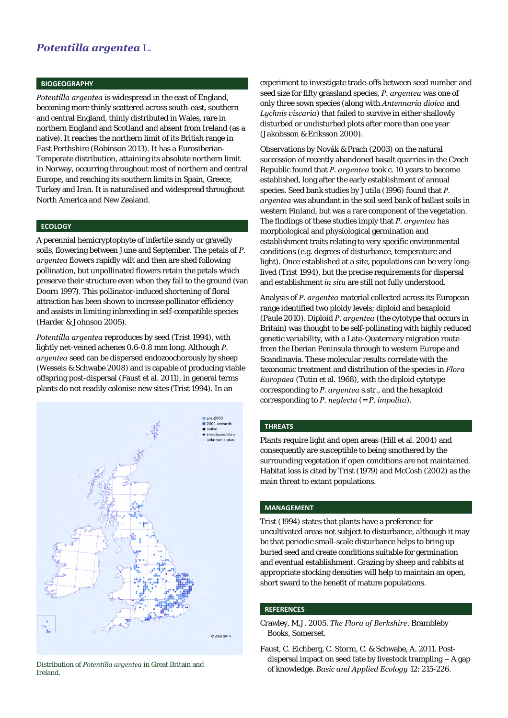## *Potentilla argentea* L.

## **BIOGEOGRAPHY**

*Potentilla argentea* is widespread in the east of England, becoming more thinly scattered across south-east, southern and central England, thinly distributed in Wales, rare in northern England and Scotland and absent from Ireland (as a native). It reaches the northern limit of its British range in East Perthshire (Robinson 2013). It has a Eurosiberian-Temperate distribution, attaining its absolute northern limit in Norway, occurring throughout most of northern and central Europe, and reaching its southern limits in Spain, Greece, Turkey and Iran. It is naturalised and widespread throughout North America and New Zealand.

## **ECOLOGY**

A perennial hemicryptophyte of infertile sandy or gravelly soils, flowering between June and September. The petals of *P. argentea* flowers rapidly wilt and then are shed following pollination, but unpollinated flowers retain the petals which preserve their structure even when they fall to the ground (van Doorn 1997). This pollinator-induced shortening of floral attraction has been shown to increase pollinator efficiency and assists in limiting inbreeding in self-compatible species (Harder & Johnson 2005).

*Potentilla argentea* reproduces by seed (Trist 1994), with lightly net-veined achenes 0.6-0.8 mm long. Although *P. argentea* seed can be dispersed endozoochorously by sheep (Wessels & Schwabe 2008) and is capable of producing viable offspring post-dispersal (Faust et al. 2011), in general terms plants do not readily colonise new sites (Trist 1994). In an



Ireland.

experiment to investigate trade-offs between seed number and seed size for fifty grassland species, *P. argentea* was one of only three sown species (along with *Antennaria dioica* and *Lychnis viscaria*) that failed to survive in either shallowly disturbed or undisturbed plots after more than one year (Jakobsson & Eriksson 2000).

Observations by Novák & Prach (2003) on the natural succession of recently abandoned basalt quarries in the Czech Republic found that *P. argentea* took c. 10 years to become established, long after the early establishment of annual species. Seed bank studies by Jutila (1996) found that *P. argentea* was abundant in the soil seed bank of ballast soils in western Finland, but was a rare component of the vegetation. The findings of these studies imply that *P. argentea* has morphological and physiological germination and establishment traits relating to very specific environmental conditions (e.g. degrees of disturbance, temperature and light). Once established at a site, populations can be very longlived (Trist 1994), but the precise requirements for dispersal and establishment *in situ* are still not fully understood.

Analysis of *P. argentea* material collected across its European range identified two ploidy levels; diploid and hexaploid (Paule 2010). Diploid *P. argentea* (the cytotype that occurs in Britain) was thought to be self-pollinating with highly reduced genetic variability, with a Late-Quaternary migration route from the Iberian Peninsula through to western Europe and Scandinavia. These molecular results correlate with the taxonomic treatment and distribution of the species in *Flora Europaea* (Tutin et al. 1968), with the diploid cytotype corresponding to *P. argentea* s.str., and the hexaploid corresponding to *P. neglecta* (= *P. impolita*).

## **THREATS**

Plants require light and open areas (Hill et al. 2004) and consequently are susceptible to being smothered by the surrounding vegetation if open conditions are not maintained. Habitat loss is cited by Trist (1979) and McCosh (2002) as the main threat to extant populations.

## **MANAGEMENT**

Trist (1994) states that plants have a preference for uncultivated areas not subject to disturbance, although it may be that periodic small-scale disturbance helps to bring up buried seed and create conditions suitable for germination and eventual establishment. Grazing by sheep and rabbits at appropriate stocking densities will help to maintain an open, short sward to the benefit of mature populations.

#### **REFERENCES**

Crawley, M.J. 2005. *The Flora of Berkshire*. Brambleby Books, Somerset.

Faust, C. Eichberg, C. Storm, C. & Schwabe, A. 2011. Postdispersal impact on seed fate by livestock trampling – A gap of knowledge. *Basic and Applied Ecology* 12: 215-226. Distribution of *Potentilla argentea* in Great Britain and